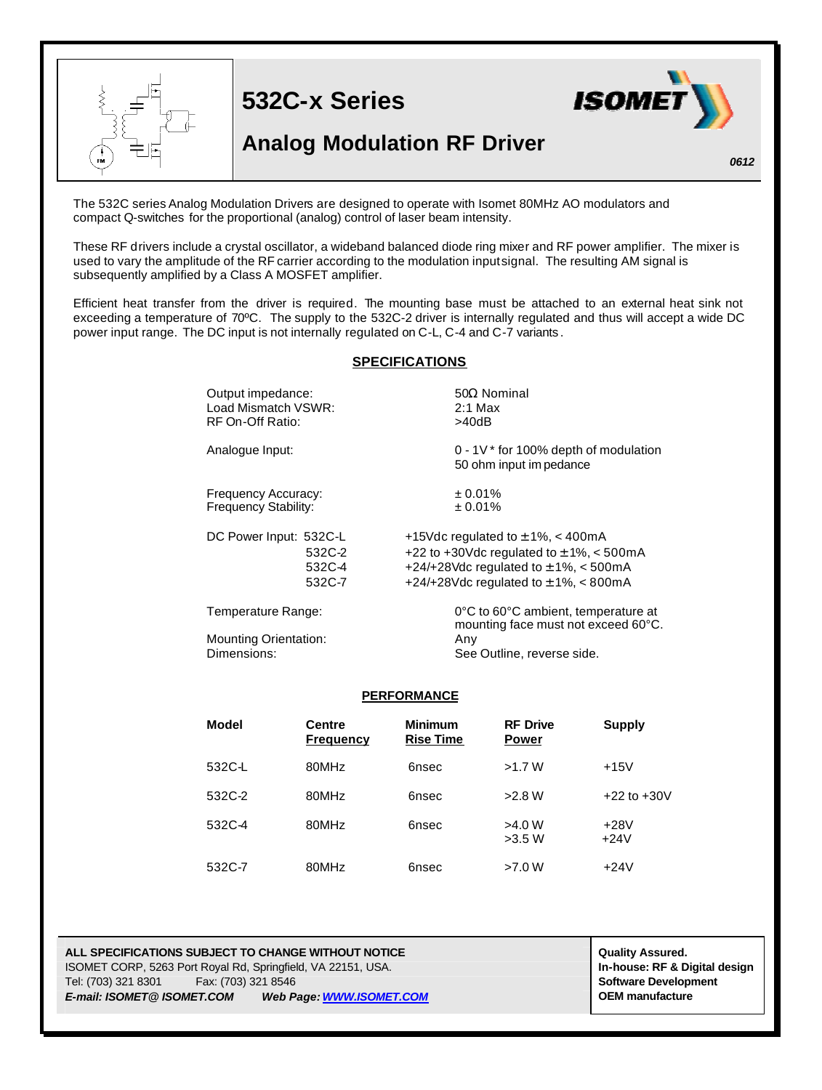

The 532C series Analog Modulation Drivers are designed to operate with Isomet 80MHz AO modulators and compact Q-switches for the proportional (analog) control of laser beam intensity.

These RF drivers include a crystal oscillator, a wideband balanced diode ring mixer and RF power amplifier. The mixer is used to vary the amplitude of the RF carrier according to the modulation input signal. The resulting AM signal is subsequently amplified by a Class A MOSFET amplifier.

Efficient heat transfer from the driver is required. The mounting base must be attached to an external heat sink not exceeding a temperature of 70ºC. The supply to the 532C-2 driver is internally regulated and thus will accept a wide DC power input range. The DC input is not internally regulated on C-L, C-4 and C-7 variants .

## **SPECIFICATIONS**

| Output impedance:            | $50\Omega$ Nominal                                                         |
|------------------------------|----------------------------------------------------------------------------|
| Load Mismatch VSWR:          | $2:1$ Max                                                                  |
| RF On-Off Ratio:             | >40dB                                                                      |
| Analogue Input:              | $0 - 1V^*$ for 100% depth of modulation<br>50 ohm input im pedance         |
| Frequency Accuracy:          | $± 0.01\%$                                                                 |
| Frequency Stability:         | ± 0.01%                                                                    |
| DC Power Input: 532C-L       | +15Vdc regulated to $\pm$ 1%, < 400mA                                      |
| 532C-2                       | +22 to +30Vdc regulated to $\pm$ 1%, < 500mA                               |
| 532C-4                       | +24/+28Vdc regulated to $\pm$ 1%, < 500mA                                  |
| 532C-7                       | +24/+28Vdc regulated to $\pm$ 1%, < 800mA                                  |
| Temperature Range:           | 0°C to 60°C ambient, temperature at<br>mounting face must not exceed 60°C. |
| <b>Mounting Orientation:</b> | Any                                                                        |
| Dimensions:                  | See Outline, reverse side.                                                 |

## **PERFORMANCE**

| Model  | <b>Centre</b><br><b>Frequency</b> | <b>Minimum</b><br><b>Rise Time</b> | <b>RF Drive</b><br><b>Power</b> | Supply           |
|--------|-----------------------------------|------------------------------------|---------------------------------|------------------|
| 532C-L | 80MHz                             | 6nsec                              | >1.7 W                          | $+15V$           |
| 532C-2 | 80MHz                             | 6nsec                              | >2.8 W                          | $+22$ to $+30V$  |
| 532C-4 | 80MHz                             | 6nsec                              | >4.0 W<br>>3.5 W                | $+28V$<br>$+24V$ |
| 532C-7 | 80MHz                             | 6nsec                              | >7.0 W                          | $+24V$           |

**ALL SPECIFICATIONS SUBJECT TO CHANGE WITHOUT NOTICE And CONTACT ASSURANT CONTRACT ASSURED.** ISOMET CORP, 5263 Port Royal Rd, Springfield, VA 22151, USA. **In-house: RF & Digital design** Tel: (703) 321 8301 Fax: (703) 321 8546 **Software Development** *E-mail: ISOMET@ ISOMET.COM Web Page: WWW.ISOMET.COM* **OEM manufacture**